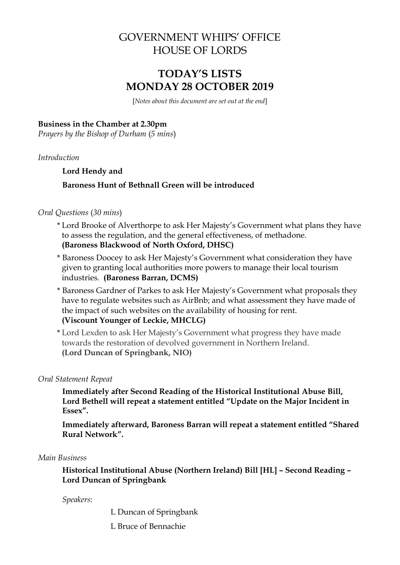# GOVERNMENT WHIPS' OFFICE HOUSE OF LORDS

# **TODAY'S LISTS MONDAY 28 OCTOBER 2019**

[*Notes about this document are set out at the end*]

#### **Business in the Chamber at 2.30pm**

*Prayers by the Bishop of Durham* (*5 mins*)

*Introduction*

### **Lord Hendy and**

## **Baroness Hunt of Bethnall Green will be introduced**

## *Oral Questions* (*30 mins*)

- \* Lord Brooke of Alverthorpe to ask Her Majesty's Government what plans they have to assess the regulation, and the general effectiveness, of methadone. **(Baroness Blackwood of North Oxford, DHSC)**
- \* Baroness Doocey to ask Her Majesty's Government what consideration they have given to granting local authorities more powers to manage their local tourism industries. **(Baroness Barran, DCMS)**
- \* Baroness Gardner of Parkes to ask Her Majesty's Government what proposals they have to regulate websites such as AirBnb; and what assessment they have made of the impact of such websites on the availability of housing for rent. **(Viscount Younger of Leckie, MHCLG)**
- \* Lord Lexden to ask Her Majesty's Government what progress they have made towards the restoration of devolved government in Northern Ireland. **(Lord Duncan of Springbank, NIO)**

#### *Oral Statement Repeat*

**Immediately after Second Reading of the Historical Institutional Abuse Bill, Lord Bethell will repeat a statement entitled "Update on the Major Incident in Essex".**

**Immediately afterward, Baroness Barran will repeat a statement entitled "Shared Rural Network".** 

#### *Main Business*

**Historical Institutional Abuse (Northern Ireland) Bill [HL] – Second Reading – Lord Duncan of Springbank**

*Speakers*:

L Duncan of Springbank

L Bruce of Bennachie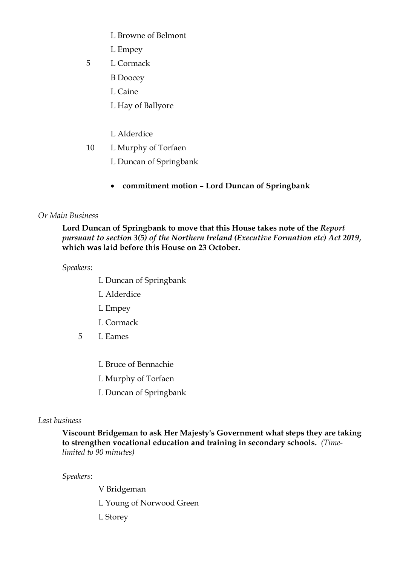- L Browne of Belmont
- L Empey
- 5 L Cormack
	- B Doocey
	- L Caine
	- L Hay of Ballyore
	- L Alderdice
- 10 L Murphy of Torfaen
	- L Duncan of Springbank
	- **commitment motion – Lord Duncan of Springbank**

### *Or Main Business*

## **Lord Duncan of Springbank to move that this House takes note of the** *Report pursuant to section 3(5) of the Northern Ireland (Executive Formation etc) Act 2019***, which was laid before this House on 23 October.**

*Speakers*:

- L Duncan of Springbank
- L Alderdice
- L Empey
- L Cormack
- 5 L Eames
	- L Bruce of Bennachie
	- L Murphy of Torfaen
	- L Duncan of Springbank

#### *Last business*

**Viscount Bridgeman to ask Her Majesty's Government what steps they are taking to strengthen vocational education and training in secondary schools.** *(Timelimited to 90 minutes)*

*Speakers*:

V Bridgeman L Young of Norwood Green L Storey